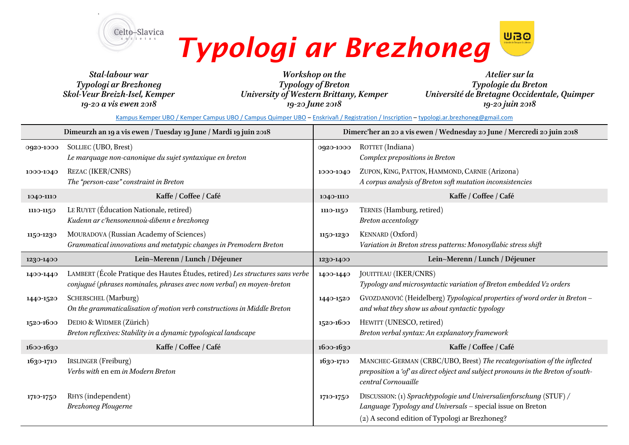



*Stal-labour war Typologi ar Brezhoneg Skol-Veur Breizh-Isel, Kemper 19-20 a vis ewen 2018*

*Workshop on the Typology of Breton University of Western Brittany, Kemper 19-20 June 2018*

*Ateliersur la Typologie du Breton Université de Bretagne Occidentale, Quimper 19-20 juin 2018*

[Kampus Kemper UBO / Kemper Campus UBO / Campus Quimper UBO](https://www.google.com/maps/place/P%C3%B4le+universitaire+Pierre-Jakez+H%C3%A9lias+-+Universit%C3%A9+de+Bretagne+Occidentale/@47.972053,-4.0958937,17z/data=!3m1!4b1!4m5!3m4!1s0x4810d5ca3d1dde93:0xe62a6150e5d5af5d!8m2!3d47.972053!4d-4.093705?hl=fr) ‒ [Enskrivañ / Registration / Inscription](https://www.academia.edu/34394743/Typologi_ar_Brezhoneg_-_registration_abstract_form) – [typologi.ar.brezhoneg@gmail.com](mailto:typologi.ar.brezhoneg@gmail.com)

| Dimeurzh an 19 a vis ewen / Tuesday 19 June / Mardi 19 juin 2018 |                                                                                                                                                        | Dimerc'her an 20 a vis ewen / Wednesday 20 June / Mercredi 20 juin 2018 |                                                                                                                                                                                    |
|------------------------------------------------------------------|--------------------------------------------------------------------------------------------------------------------------------------------------------|-------------------------------------------------------------------------|------------------------------------------------------------------------------------------------------------------------------------------------------------------------------------|
| 0920-1000                                                        | SOLLIEC (UBO, Brest)<br>Le marquage non-canonique du sujet syntaxique en breton                                                                        | 0920-1000                                                               | ROTTET (Indiana)<br>Complex prepositions in Breton                                                                                                                                 |
| 1000-1040                                                        | <b>REZAC (IKER/CNRS)</b><br>The "person-case" constraint in Breton                                                                                     | 1000-1040                                                               | ZUPON, KING, PATTON, HAMMOND, CARNIE (Arizona)<br>A corpus analysis of Breton soft mutation inconsistencies                                                                        |
| 1040-1110                                                        | Kaffe / Coffee / Café                                                                                                                                  | 1040-1110                                                               | Kaffe / Coffee / Café                                                                                                                                                              |
| 1110-1150                                                        | LE RUYET (Éducation Nationale, retired)<br>Kudenn ar c'hensonennoù-dibenn e brezhoneg                                                                  | 1110-1150                                                               | TERNES (Hamburg, retired)<br>Breton accentology                                                                                                                                    |
| 1150-1230                                                        | MOURADOVA (Russian Academy of Sciences)<br>Grammatical innovations and metatypic changes in Premodern Breton                                           | 1150-1230                                                               | KENNARD (Oxford)<br>Variation in Breton stress patterns: Monosyllabic stress shift                                                                                                 |
| 1230-1400                                                        | Lein~Merenn / Lunch / Déjeuner                                                                                                                         | 1230-1400                                                               | Lein~Merenn / Lunch / Déjeuner                                                                                                                                                     |
| 1400-1440                                                        | LAMBERT (École Pratique des Hautes Études, retired) Les structures sans verbe<br>conjugué (phrases nominales, phrases avec nom verbal) en moyen-breton | 1400-1440                                                               | JOUITTEAU (IKER/CNRS)<br>Typology and microsyntactic variation of Breton embedded V2 orders                                                                                        |
| 1440-1520                                                        | SCHERSCHEL (Marburg)<br>On the grammaticalisation of motion verb constructions in Middle Breton                                                        | 1440-1520                                                               | GVOZDANOVIĆ (Heidelberg) Typological properties of word order in Breton -<br>and what they show us about syntactic typology                                                        |
| 1520-1600                                                        | DEDIO & WIDMER (Zürich)<br>Breton reflexives: Stability in a dynamic typological landscape                                                             | 1520-1600                                                               | HEWITT (UNESCO, retired)<br>Breton verbal syntax: An explanatory framework                                                                                                         |
| 1600-1630                                                        | Kaffe / Coffee / Café                                                                                                                                  | $1600 - 1630$                                                           | Kaffe / Coffee / Café                                                                                                                                                              |
| 1630-1710                                                        | <b>IRSLINGER</b> (Freiburg)<br>Verbs with en em in Modern Breton                                                                                       | 1630-1710                                                               | MANCHEC-GERMAN (CRBC/UBO, Brest) The recategorisation of the inflected<br>preposition a 'of' as direct object and subject pronouns in the Breton of south-<br>central Cornouaille  |
| 1710-1750                                                        | RHYS (independent)<br><b>Brezhoneg Plougerne</b>                                                                                                       | 1710-1750                                                               | DISCUSSION: (1) Sprachtypologie und Universalienforschung (STUF) /<br>Language Typology and Universals - special issue on Breton<br>(2) A second edition of Typologi ar Brezhoneg? |